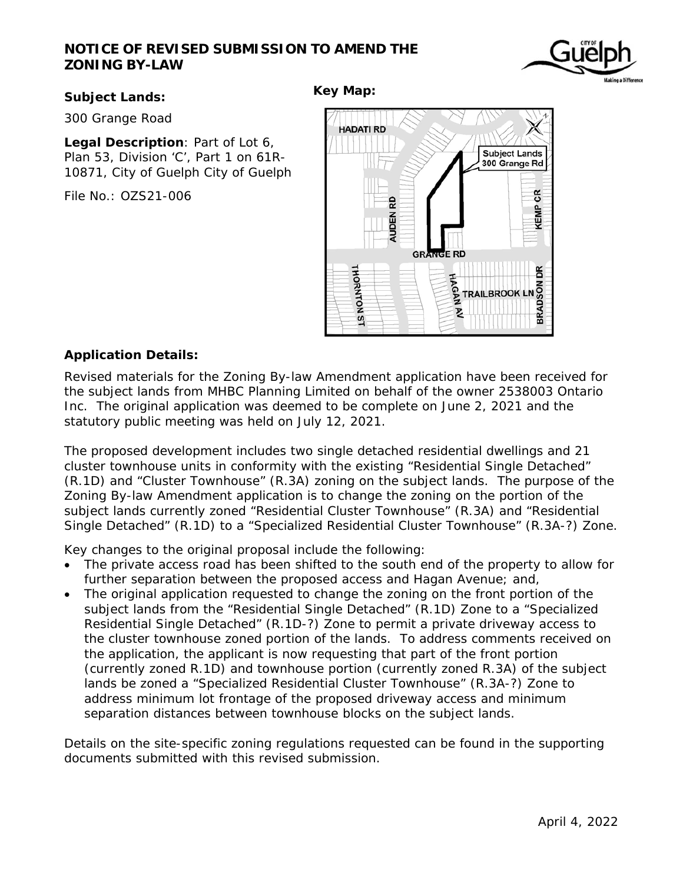# **NOTICE OF REVISED SUBMISSION TO AMEND THE ZONING BY-LAW**



## **Subject Lands:**

**Key Map:** 

300 Grange Road

**Legal Description**: Part of Lot 6, Plan 53, Division 'C', Part 1 on 61R-10871, City of Guelph City of Guelph

File No.: OZS21-006



## **Application Details:**

Revised materials for the Zoning By-law Amendment application have been received for the subject lands from MHBC Planning Limited on behalf of the owner 2538003 Ontario Inc. The original application was deemed to be complete on June 2, 2021 and the statutory public meeting was held on July 12, 2021.

The proposed development includes two single detached residential dwellings and 21 cluster townhouse units in conformity with the existing "Residential Single Detached" (R.1D) and "Cluster Townhouse" (R.3A) zoning on the subject lands. The purpose of the Zoning By-law Amendment application is to change the zoning on the portion of the subject lands currently zoned "Residential Cluster Townhouse" (R.3A) and "Residential Single Detached" (R.1D) to a "Specialized Residential Cluster Townhouse" (R.3A-?) Zone.

Key changes to the original proposal include the following:

- The private access road has been shifted to the south end of the property to allow for further separation between the proposed access and Hagan Avenue; and,
- The original application requested to change the zoning on the front portion of the subject lands from the "Residential Single Detached" (R.1D) Zone to a "Specialized Residential Single Detached" (R.1D-?) Zone to permit a private driveway access to the cluster townhouse zoned portion of the lands. To address comments received on the application, the applicant is now requesting that part of the front portion (currently zoned R.1D) and townhouse portion (currently zoned R.3A) of the subject lands be zoned a "Specialized Residential Cluster Townhouse" (R.3A-?) Zone to address minimum lot frontage of the proposed driveway access and minimum separation distances between townhouse blocks on the subject lands.

Details on the site-specific zoning regulations requested can be found in the supporting documents submitted with this revised submission.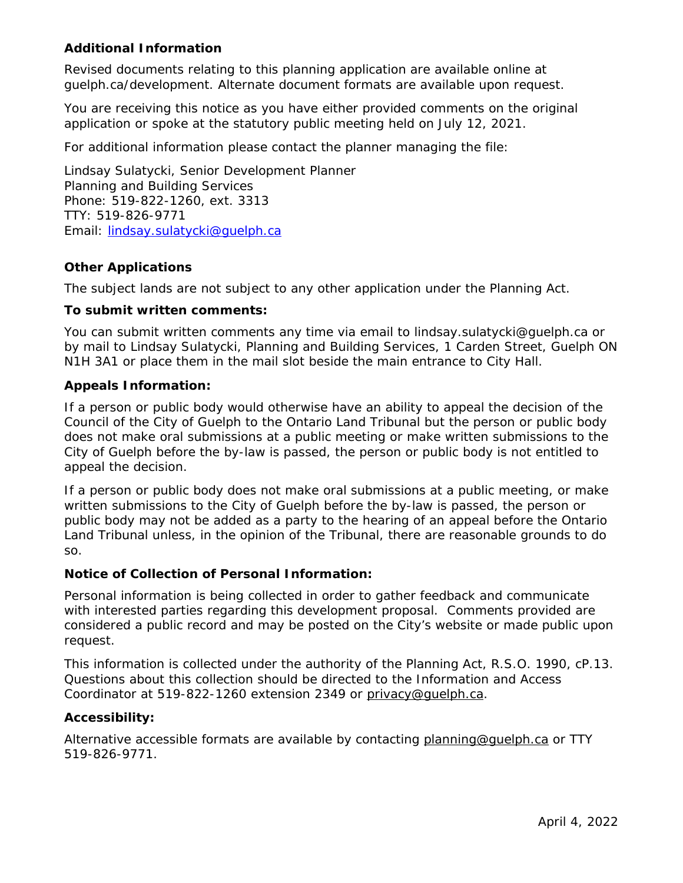## **Additional Information**

Revised documents relating to this planning application are available online at guelph.ca/development. Alternate document formats are available upon request.

You are receiving this notice as you have either provided comments on the original application or spoke at the statutory public meeting held on July 12, 2021.

For additional information please contact the planner managing the file:

Lindsay Sulatycki, Senior Development Planner Planning and Building Services Phone: 519-822-1260, ext. 3313 TTY: 519-826-9771 Email: lindsay.sulatycki@guelph.ca

## **Other Applications**

The subject lands are not subject to any other application under the Planning Act.

### **To submit written comments:**

You can submit written comments any time via email to lindsay.sulatycki@guelph.ca or by mail to Lindsay Sulatycki, Planning and Building Services, 1 Carden Street, Guelph ON N1H 3A1 or place them in the mail slot beside the main entrance to City Hall.

### **Appeals Information:**

If a person or public body would otherwise have an ability to appeal the decision of the Council of the City of Guelph to the Ontario Land Tribunal but the person or public body does not make oral submissions at a public meeting or make written submissions to the City of Guelph before the by-law is passed, the person or public body is not entitled to appeal the decision.

If a person or public body does not make oral submissions at a public meeting, or make written submissions to the City of Guelph before the by-law is passed, the person or public body may not be added as a party to the hearing of an appeal before the Ontario Land Tribunal unless, in the opinion of the Tribunal, there are reasonable grounds to do so.

### **Notice of Collection of Personal Information:**

Personal information is being collected in order to gather feedback and communicate with interested parties regarding this development proposal. Comments provided are considered a public record and may be posted on the City's website or made public upon request.

This information is collected under the authority of the Planning Act, R.S.O. 1990, cP.13. Questions about this collection should be directed to the Information and Access Coordinator at 519-822-1260 extension 2349 or privacy@guelph.ca.

### **Accessibility:**

Alternative accessible formats are available by contacting planning@guelph.ca or TTY 519-826-9771.